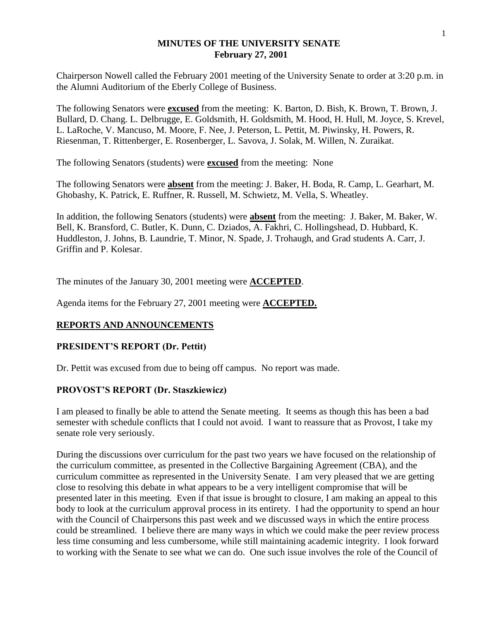## **MINUTES OF THE UNIVERSITY SENATE February 27, 2001**

Chairperson Nowell called the February 2001 meeting of the University Senate to order at 3:20 p.m. in the Alumni Auditorium of the Eberly College of Business.

The following Senators were **excused** from the meeting: K. Barton, D. Bish, K. Brown, T. Brown, J. Bullard, D. Chang. L. Delbrugge, E. Goldsmith, H. Goldsmith, M. Hood, H. Hull, M. Joyce, S. Krevel, L. LaRoche, V. Mancuso, M. Moore, F. Nee, J. Peterson, L. Pettit, M. Piwinsky, H. Powers, R. Riesenman, T. Rittenberger, E. Rosenberger, L. Savova, J. Solak, M. Willen, N. Zuraikat.

The following Senators (students) were **excused** from the meeting: None

The following Senators were **absent** from the meeting: J. Baker, H. Boda, R. Camp, L. Gearhart, M. Ghobashy, K. Patrick, E. Ruffner, R. Russell, M. Schwietz, M. Vella, S. Wheatley.

In addition, the following Senators (students) were **absent** from the meeting: J. Baker, M. Baker, W. Bell, K. Bransford, C. Butler, K. Dunn, C. Dziados, A. Fakhri, C. Hollingshead, D. Hubbard, K. Huddleston, J. Johns, B. Laundrie, T. Minor, N. Spade, J. Trohaugh, and Grad students A. Carr, J. Griffin and P. Kolesar.

The minutes of the January 30, 2001 meeting were **ACCEPTED**.

Agenda items for the February 27, 2001 meeting were **ACCEPTED.**

# **REPORTS AND ANNOUNCEMENTS**

## **PRESIDENT'S REPORT (Dr. Pettit)**

Dr. Pettit was excused from due to being off campus. No report was made.

## **PROVOST'S REPORT (Dr. Staszkiewicz)**

I am pleased to finally be able to attend the Senate meeting. It seems as though this has been a bad semester with schedule conflicts that I could not avoid. I want to reassure that as Provost, I take my senate role very seriously.

During the discussions over curriculum for the past two years we have focused on the relationship of the curriculum committee, as presented in the Collective Bargaining Agreement (CBA), and the curriculum committee as represented in the University Senate. I am very pleased that we are getting close to resolving this debate in what appears to be a very intelligent compromise that will be presented later in this meeting. Even if that issue is brought to closure, I am making an appeal to this body to look at the curriculum approval process in its entirety. I had the opportunity to spend an hour with the Council of Chairpersons this past week and we discussed ways in which the entire process could be streamlined. I believe there are many ways in which we could make the peer review process less time consuming and less cumbersome, while still maintaining academic integrity. I look forward to working with the Senate to see what we can do. One such issue involves the role of the Council of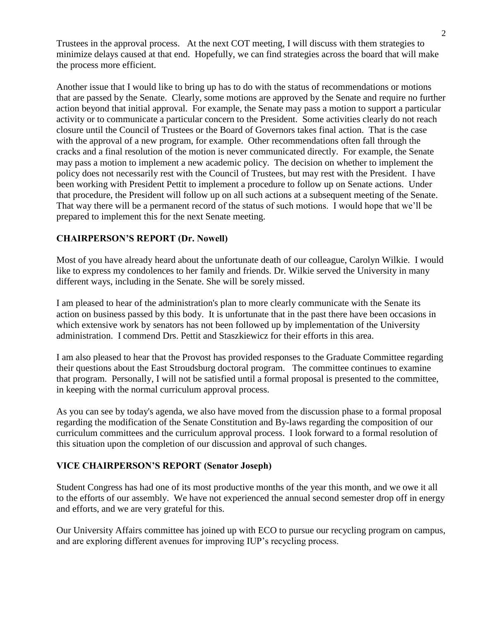Trustees in the approval process. At the next COT meeting, I will discuss with them strategies to minimize delays caused at that end. Hopefully, we can find strategies across the board that will make the process more efficient.

Another issue that I would like to bring up has to do with the status of recommendations or motions that are passed by the Senate. Clearly, some motions are approved by the Senate and require no further action beyond that initial approval. For example, the Senate may pass a motion to support a particular activity or to communicate a particular concern to the President. Some activities clearly do not reach closure until the Council of Trustees or the Board of Governors takes final action. That is the case with the approval of a new program, for example. Other recommendations often fall through the cracks and a final resolution of the motion is never communicated directly. For example, the Senate may pass a motion to implement a new academic policy. The decision on whether to implement the policy does not necessarily rest with the Council of Trustees, but may rest with the President. I have been working with President Pettit to implement a procedure to follow up on Senate actions. Under that procedure, the President will follow up on all such actions at a subsequent meeting of the Senate. That way there will be a permanent record of the status of such motions. I would hope that we'll be prepared to implement this for the next Senate meeting.

# **CHAIRPERSON'S REPORT (Dr. Nowell)**

Most of you have already heard about the unfortunate death of our colleague, Carolyn Wilkie. I would like to express my condolences to her family and friends. Dr. Wilkie served the University in many different ways, including in the Senate. She will be sorely missed.

I am pleased to hear of the administration's plan to more clearly communicate with the Senate its action on business passed by this body. It is unfortunate that in the past there have been occasions in which extensive work by senators has not been followed up by implementation of the University administration. I commend Drs. Pettit and Staszkiewicz for their efforts in this area.

I am also pleased to hear that the Provost has provided responses to the Graduate Committee regarding their questions about the East Stroudsburg doctoral program. The committee continues to examine that program. Personally, I will not be satisfied until a formal proposal is presented to the committee, in keeping with the normal curriculum approval process.

As you can see by today's agenda, we also have moved from the discussion phase to a formal proposal regarding the modification of the Senate Constitution and By-laws regarding the composition of our curriculum committees and the curriculum approval process. I look forward to a formal resolution of this situation upon the completion of our discussion and approval of such changes.

# **VICE CHAIRPERSON'S REPORT (Senator Joseph)**

Student Congress has had one of its most productive months of the year this month, and we owe it all to the efforts of our assembly. We have not experienced the annual second semester drop off in energy and efforts, and we are very grateful for this.

Our University Affairs committee has joined up with ECO to pursue our recycling program on campus, and are exploring different avenues for improving IUP's recycling process.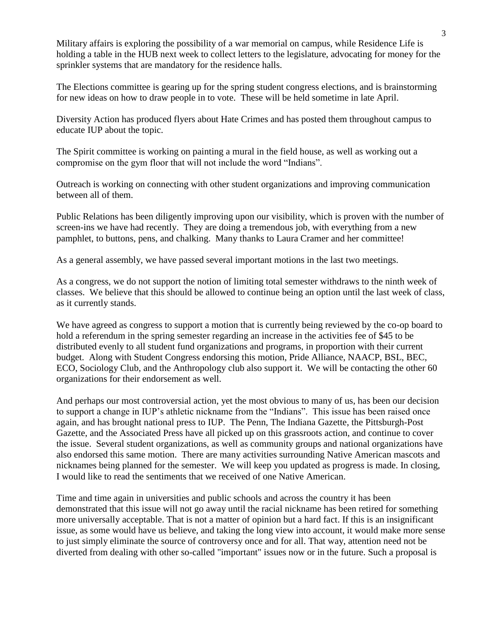Military affairs is exploring the possibility of a war memorial on campus, while Residence Life is holding a table in the HUB next week to collect letters to the legislature, advocating for money for the sprinkler systems that are mandatory for the residence halls.

The Elections committee is gearing up for the spring student congress elections, and is brainstorming for new ideas on how to draw people in to vote. These will be held sometime in late April.

Diversity Action has produced flyers about Hate Crimes and has posted them throughout campus to educate IUP about the topic.

The Spirit committee is working on painting a mural in the field house, as well as working out a compromise on the gym floor that will not include the word "Indians".

Outreach is working on connecting with other student organizations and improving communication between all of them.

Public Relations has been diligently improving upon our visibility, which is proven with the number of screen-ins we have had recently. They are doing a tremendous job, with everything from a new pamphlet, to buttons, pens, and chalking. Many thanks to Laura Cramer and her committee!

As a general assembly, we have passed several important motions in the last two meetings.

As a congress, we do not support the notion of limiting total semester withdraws to the ninth week of classes. We believe that this should be allowed to continue being an option until the last week of class, as it currently stands.

We have agreed as congress to support a motion that is currently being reviewed by the co-op board to hold a referendum in the spring semester regarding an increase in the activities fee of \$45 to be distributed evenly to all student fund organizations and programs, in proportion with their current budget. Along with Student Congress endorsing this motion, Pride Alliance, NAACP, BSL, BEC, ECO, Sociology Club, and the Anthropology club also support it. We will be contacting the other 60 organizations for their endorsement as well.

And perhaps our most controversial action, yet the most obvious to many of us, has been our decision to support a change in IUP's athletic nickname from the "Indians". This issue has been raised once again, and has brought national press to IUP. The Penn, The Indiana Gazette, the Pittsburgh-Post Gazette, and the Associated Press have all picked up on this grassroots action, and continue to cover the issue. Several student organizations, as well as community groups and national organizations have also endorsed this same motion. There are many activities surrounding Native American mascots and nicknames being planned for the semester. We will keep you updated as progress is made. In closing, I would like to read the sentiments that we received of one Native American.

Time and time again in universities and public schools and across the country it has been demonstrated that this issue will not go away until the racial nickname has been retired for something more universally acceptable. That is not a matter of opinion but a hard fact. If this is an insignificant issue, as some would have us believe, and taking the long view into account, it would make more sense to just simply eliminate the source of controversy once and for all. That way, attention need not be diverted from dealing with other so-called "important" issues now or in the future. Such a proposal is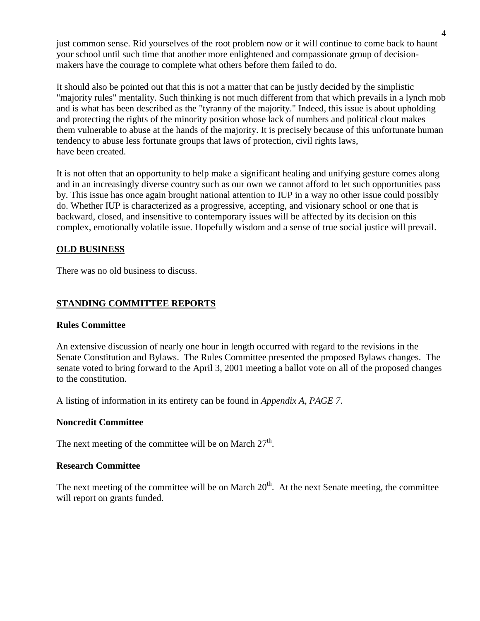just common sense. Rid yourselves of the root problem now or it will continue to come back to haunt your school until such time that another more enlightened and compassionate group of decisionmakers have the courage to complete what others before them failed to do.

It should also be pointed out that this is not a matter that can be justly decided by the simplistic "majority rules" mentality. Such thinking is not much different from that which prevails in a lynch mob and is what has been described as the "tyranny of the majority." Indeed, this issue is about upholding and protecting the rights of the minority position whose lack of numbers and political clout makes them vulnerable to abuse at the hands of the majority. It is precisely because of this unfortunate human tendency to abuse less fortunate groups that laws of protection, civil rights laws, have been created.

It is not often that an opportunity to help make a significant healing and unifying gesture comes along and in an increasingly diverse country such as our own we cannot afford to let such opportunities pass by. This issue has once again brought national attention to IUP in a way no other issue could possibly do. Whether IUP is characterized as a progressive, accepting, and visionary school or one that is backward, closed, and insensitive to contemporary issues will be affected by its decision on this complex, emotionally volatile issue. Hopefully wisdom and a sense of true social justice will prevail.

# **OLD BUSINESS**

There was no old business to discuss.

# **STANDING COMMITTEE REPORTS**

### **Rules Committee**

An extensive discussion of nearly one hour in length occurred with regard to the revisions in the Senate Constitution and Bylaws. The Rules Committee presented the proposed Bylaws changes. The senate voted to bring forward to the April 3, 2001 meeting a ballot vote on all of the proposed changes to the constitution.

A listing of information in its entirety can be found in *Appendix A, PAGE 7*.

### **Noncredit Committee**

The next meeting of the committee will be on March  $27<sup>th</sup>$ .

## **Research Committee**

The next meeting of the committee will be on March  $20<sup>th</sup>$ . At the next Senate meeting, the committee will report on grants funded.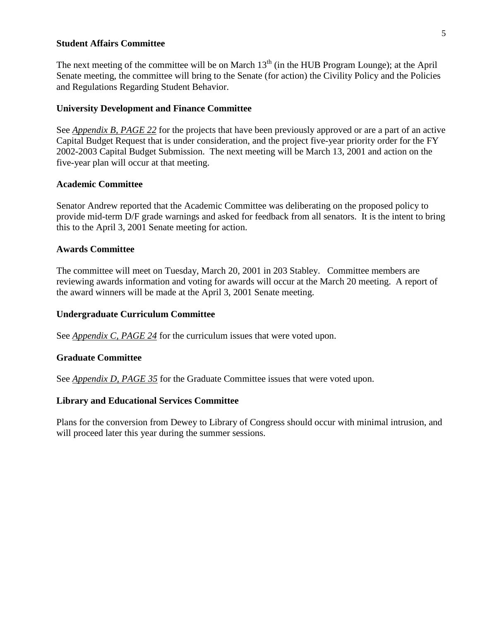### **Student Affairs Committee**

The next meeting of the committee will be on March  $13<sup>th</sup>$  (in the HUB Program Lounge); at the April Senate meeting, the committee will bring to the Senate (for action) the Civility Policy and the Policies and Regulations Regarding Student Behavior.

### **University Development and Finance Committee**

See *Appendix B, PAGE 22* for the projects that have been previously approved or are a part of an active Capital Budget Request that is under consideration, and the project five-year priority order for the FY 2002-2003 Capital Budget Submission. The next meeting will be March 13, 2001 and action on the five-year plan will occur at that meeting.

### **Academic Committee**

Senator Andrew reported that the Academic Committee was deliberating on the proposed policy to provide mid-term D/F grade warnings and asked for feedback from all senators. It is the intent to bring this to the April 3, 2001 Senate meeting for action.

### **Awards Committee**

The committee will meet on Tuesday, March 20, 2001 in 203 Stabley. Committee members are reviewing awards information and voting for awards will occur at the March 20 meeting. A report of the award winners will be made at the April 3, 2001 Senate meeting.

### **Undergraduate Curriculum Committee**

See *Appendix C, PAGE 24* for the curriculum issues that were voted upon.

## **Graduate Committee**

See *Appendix D, PAGE 35* for the Graduate Committee issues that were voted upon.

## **Library and Educational Services Committee**

Plans for the conversion from Dewey to Library of Congress should occur with minimal intrusion, and will proceed later this year during the summer sessions.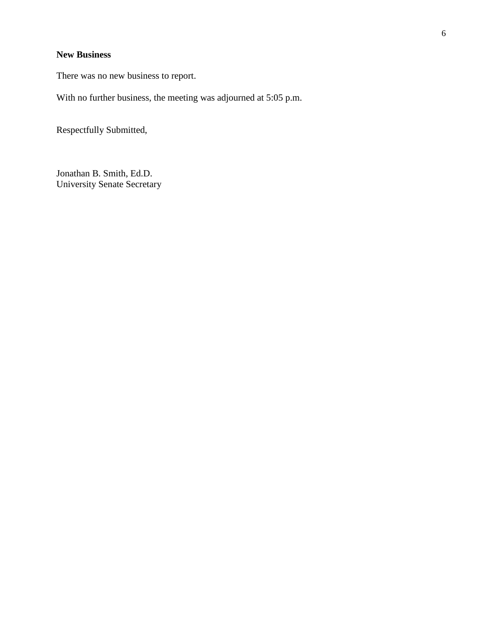# **New Business**

There was no new business to report.

With no further business, the meeting was adjourned at 5:05 p.m.

Respectfully Submitted,

Jonathan B. Smith, Ed.D. University Senate Secretary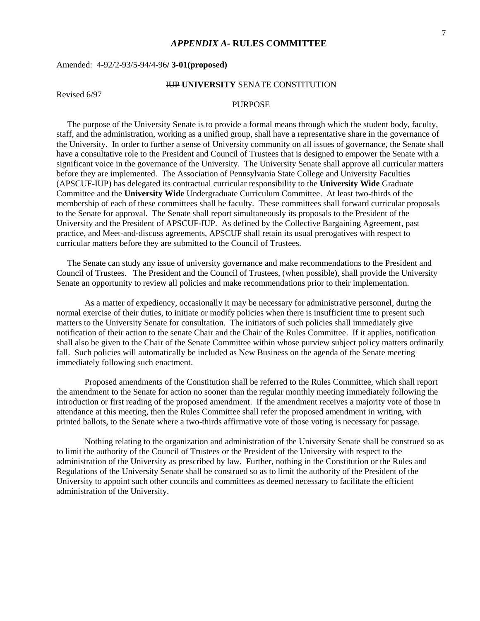### *APPENDIX A-* **RULES COMMITTEE**

### Amended: 4-92/2-93/5-94/4-96**/ 3-01(proposed)**

### IUP **UNIVERSITY** SENATE CONSTITUTION

Revised 6/97

### PURPOSE

 The purpose of the University Senate is to provide a formal means through which the student body, faculty, staff, and the administration, working as a unified group, shall have a representative share in the governance of the University. In order to further a sense of University community on all issues of governance, the Senate shall have a consultative role to the President and Council of Trustees that is designed to empower the Senate with a significant voice in the governance of the University. The University Senate shall approve all curricular matters before they are implemented. The Association of Pennsylvania State College and University Faculties (APSCUF-IUP) has delegated its contractual curricular responsibility to the **University Wide** Graduate Committee and the **University Wide** Undergraduate Curriculum Committee. At least two-thirds of the membership of each of these committees shall be faculty. These committees shall forward curricular proposals to the Senate for approval. The Senate shall report simultaneously its proposals to the President of the University and the President of APSCUF-IUP. As defined by the Collective Bargaining Agreement, past practice, and Meet-and-discuss agreements, APSCUF shall retain its usual prerogatives with respect to curricular matters before they are submitted to the Council of Trustees.

 The Senate can study any issue of university governance and make recommendations to the President and Council of Trustees. The President and the Council of Trustees, (when possible), shall provide the University Senate an opportunity to review all policies and make recommendations prior to their implementation.

As a matter of expediency, occasionally it may be necessary for administrative personnel, during the normal exercise of their duties, to initiate or modify policies when there is insufficient time to present such matters to the University Senate for consultation. The initiators of such policies shall immediately give notification of their action to the senate Chair and the Chair of the Rules Committee. If it applies, notification shall also be given to the Chair of the Senate Committee within whose purview subject policy matters ordinarily fall. Such policies will automatically be included as New Business on the agenda of the Senate meeting immediately following such enactment.

Proposed amendments of the Constitution shall be referred to the Rules Committee, which shall report the amendment to the Senate for action no sooner than the regular monthly meeting immediately following the introduction or first reading of the proposed amendment. If the amendment receives a majority vote of those in attendance at this meeting, then the Rules Committee shall refer the proposed amendment in writing, with printed ballots, to the Senate where a two-thirds affirmative vote of those voting is necessary for passage.

Nothing relating to the organization and administration of the University Senate shall be construed so as to limit the authority of the Council of Trustees or the President of the University with respect to the administration of the University as prescribed by law. Further, nothing in the Constitution or the Rules and Regulations of the University Senate shall be construed so as to limit the authority of the President of the University to appoint such other councils and committees as deemed necessary to facilitate the efficient administration of the University.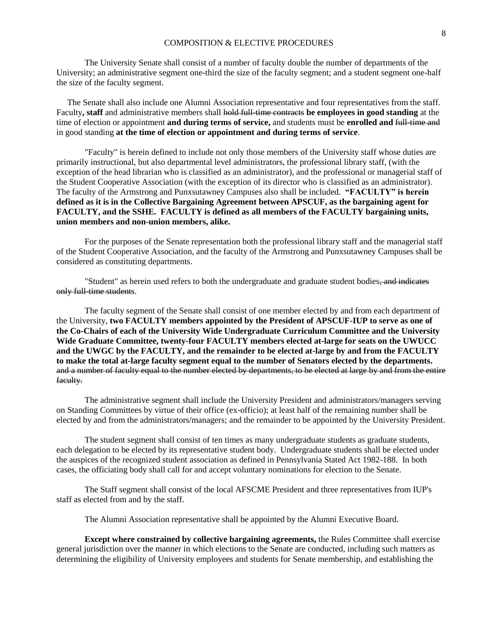The University Senate shall consist of a number of faculty double the number of departments of the University; an administrative segment one-third the size of the faculty segment; and a student segment one-half the size of the faculty segment.

 The Senate shall also include one Alumni Association representative and four representatives from the staff. Faculty**, staff** and administrative members shall hold full-time contracts **be employees in good standing** at the time of election or appointment **and during terms of service,** and students must be **enrolled and** full-time and in good standing **at the time of election or appointment and during terms of service**.

"Faculty" is herein defined to include not only those members of the University staff whose duties are primarily instructional, but also departmental level administrators, the professional library staff, (with the exception of the head librarian who is classified as an administrator), and the professional or managerial staff of the Student Cooperative Association (with the exception of its director who is classified as an administrator). The faculty of the Armstrong and Punxsutawney Campuses also shall be included. **"FACULTY" is herein defined as it is in the Collective Bargaining Agreement between APSCUF, as the bargaining agent for FACULTY, and the SSHE. FACULTY is defined as all members of the FACULTY bargaining units, union members and non-union members, alike.**

For the purposes of the Senate representation both the professional library staff and the managerial staff of the Student Cooperative Association, and the faculty of the Armstrong and Punxsutawney Campuses shall be considered as constituting departments.

"Student" as herein used refers to both the undergraduate and graduate student bodies, and indicates only full-time students.

The faculty segment of the Senate shall consist of one member elected by and from each department of the University, **two FACULTY members appointed by the President of APSCUF-IUP to serve as one of the Co-Chairs of each of the University Wide Undergraduate Curriculum Committee and the University Wide Graduate Committee, twenty-four FACULTY members elected at-large for seats on the UWUCC and the UWGC by the FACULTY, and the remainder to be elected at-large by and from the FACULTY to make the total at-large faculty segment equal to the number of Senators elected by the departments.** and a number of faculty equal to the number elected by departments, to be elected at large by and from the entire faculty.

The administrative segment shall include the University President and administrators/managers serving on Standing Committees by virtue of their office (ex-officio); at least half of the remaining number shall be elected by and from the administrators/managers; and the remainder to be appointed by the University President.

The student segment shall consist of ten times as many undergraduate students as graduate students, each delegation to be elected by its representative student body. Undergraduate students shall be elected under the auspices of the recognized student association as defined in Pennsylvania Stated Act 1982-188. In both cases, the officiating body shall call for and accept voluntary nominations for election to the Senate.

The Staff segment shall consist of the local AFSCME President and three representatives from IUP's staff as elected from and by the staff.

The Alumni Association representative shall be appointed by the Alumni Executive Board.

**Except where constrained by collective bargaining agreements,** the Rules Committee shall exercise general jurisdiction over the manner in which elections to the Senate are conducted, including such matters as determining the eligibility of University employees and students for Senate membership, and establishing the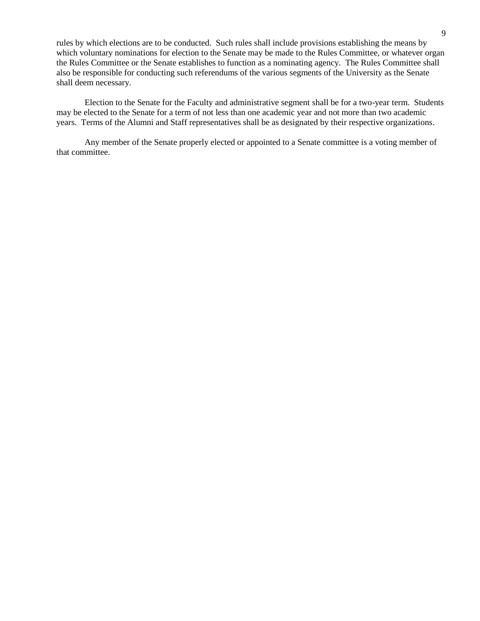rules by which elections are to be conducted. Such rules shall include provisions establishing the means by which voluntary nominations for election to the Senate may be made to the Rules Committee, or whatever organ the Rules Committee or the Senate establishes to function as a nominating agency. The Rules Committee shall also be responsible for conducting such referendums of the various segments of the University as the Senate shall deem necessary.

Election to the Senate for the Faculty and administrative segment shall be for a two-year term. Students may be elected to the Senate for a term of not less than one academic year and not more than two academic years. Terms of the Alumni and Staff representatives shall be as designated by their respective organizations.

Any member of the Senate properly elected or appointed to a Senate committee is a voting member of that committee.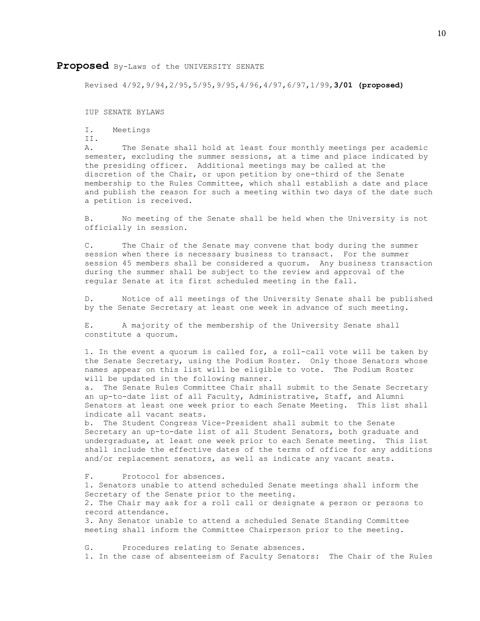### **Proposed** By-Laws of the UNIVERSITY SENATE

Revised 4/92,9/94,2/95,5/95,9/95,4/96,4/97,6/97,1/99,**3/01 (proposed)**

IUP SENATE BYLAWS

- I. Meetings
- II.

 A. The Senate shall hold at least four monthly meetings per academic semester, excluding the summer sessions, at a time and place indicated by the presiding officer. Additional meetings may be called at the discretion of the Chair, or upon petition by one-third of the Senate membership to the Rules Committee, which shall establish a date and place and publish the reason for such a meeting within two days of the date such a petition is received.

 B. No meeting of the Senate shall be held when the University is not officially in session.

 C. The Chair of the Senate may convene that body during the summer session when there is necessary business to transact. For the summer session 45 members shall be considered a quorum. Any business transaction during the summer shall be subject to the review and approval of the regular Senate at its first scheduled meeting in the fall.

 D. Notice of all meetings of the University Senate shall be published by the Senate Secretary at least one week in advance of such meeting.

 E. A majority of the membership of the University Senate shall constitute a quorum.

1. In the event a quorum is called for, a roll-call vote will be taken by the Senate Secretary, using the Podium Roster. Only those Senators whose names appear on this list will be eligible to vote. The Podium Roster will be updated in the following manner.

 a. The Senate Rules Committee Chair shall submit to the Senate Secretary an up-to-date list of all Faculty, Administrative, Staff, and Alumni Senators at least one week prior to each Senate Meeting. This list shall indicate all vacant seats.

 b. The Student Congress Vice-President shall submit to the Senate Secretary an up-to-date list of all Student Senators, both graduate and undergraduate, at least one week prior to each Senate meeting. This list shall include the effective dates of the terms of office for any additions and/or replacement senators, as well as indicate any vacant seats.

 F. Protocol for absences. 1. Senators unable to attend scheduled Senate meetings shall inform the Secretary of the Senate prior to the meeting. 2. The Chair may ask for a roll call or designate a person or persons to record attendance. 3. Any Senator unable to attend a scheduled Senate Standing Committee meeting shall inform the Committee Chairperson prior to the meeting.

 G. Procedures relating to Senate absences. 1. In the case of absenteeism of Faculty Senators: The Chair of the Rules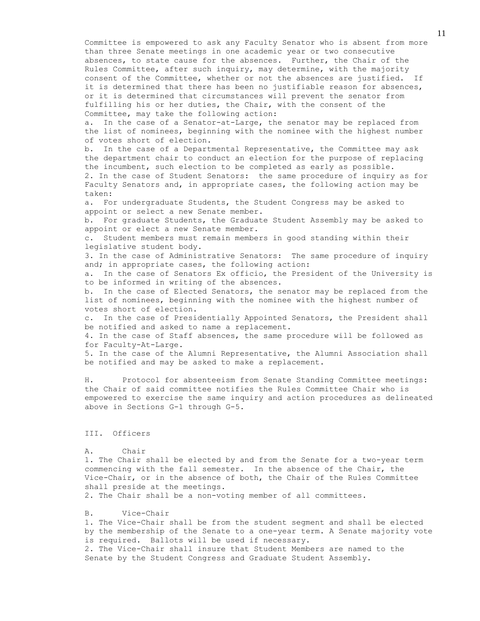Committee is empowered to ask any Faculty Senator who is absent from more than three Senate meetings in one academic year or two consecutive absences, to state cause for the absences. Further, the Chair of the Rules Committee, after such inquiry, may determine, with the majority consent of the Committee, whether or not the absences are justified. If it is determined that there has been no justifiable reason for absences, or it is determined that circumstances will prevent the senator from fulfilling his or her duties, the Chair, with the consent of the Committee, may take the following action:

 a. In the case of a Senator-at-Large, the senator may be replaced from the list of nominees, beginning with the nominee with the highest number of votes short of election.

 b. In the case of a Departmental Representative, the Committee may ask the department chair to conduct an election for the purpose of replacing the incumbent, such election to be completed as early as possible. 2. In the case of Student Senators: the same procedure of inquiry as for Faculty Senators and, in appropriate cases, the following action may be taken:

 a. For undergraduate Students, the Student Congress may be asked to appoint or select a new Senate member.

 b. For graduate Students, the Graduate Student Assembly may be asked to appoint or elect a new Senate member.

 c. Student members must remain members in good standing within their legislative student body.

 3. In the case of Administrative Senators: The same procedure of inquiry and; in appropriate cases, the following action:

 a. In the case of Senators Ex officio, the President of the University is to be informed in writing of the absences.

 b. In the case of Elected Senators, the senator may be replaced from the list of nominees, beginning with the nominee with the highest number of votes short of election.

 c. In the case of Presidentially Appointed Senators, the President shall be notified and asked to name a replacement.

 4. In the case of Staff absences, the same procedure will be followed as for Faculty-At-Large.

 5. In the case of the Alumni Representative, the Alumni Association shall be notified and may be asked to make a replacement.

 H. Protocol for absenteeism from Senate Standing Committee meetings: the Chair of said committee notifies the Rules Committee Chair who is empowered to exercise the same inquiry and action procedures as delineated above in Sections G-1 through G-5.

### III. Officers

### A. Chair

 1. The Chair shall be elected by and from the Senate for a two-year term commencing with the fall semester. In the absence of the Chair, the Vice-Chair, or in the absence of both, the Chair of the Rules Committee shall preside at the meetings.

2. The Chair shall be a non-voting member of all committees.

### B. Vice-Chair

 1. The Vice-Chair shall be from the student segment and shall be elected by the membership of the Senate to a one-year term. A Senate majority vote is required. Ballots will be used if necessary. 2. The Vice-Chair shall insure that Student Members are named to the Senate by the Student Congress and Graduate Student Assembly.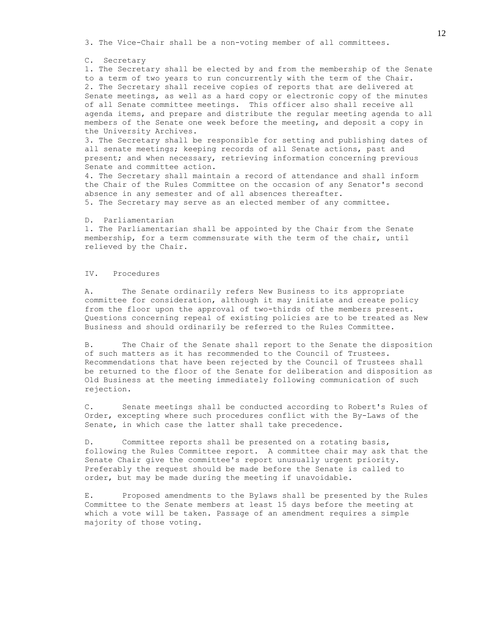3. The Vice-Chair shall be a non-voting member of all committees.

### C. Secretary

 1. The Secretary shall be elected by and from the membership of the Senate to a term of two years to run concurrently with the term of the Chair. 2. The Secretary shall receive copies of reports that are delivered at Senate meetings, as well as a hard copy or electronic copy of the minutes of all Senate committee meetings. This officer also shall receive all agenda items, and prepare and distribute the regular meeting agenda to all members of the Senate one week before the meeting, and deposit a copy in the University Archives.

 3. The Secretary shall be responsible for setting and publishing dates of all senate meetings; keeping records of all Senate actions, past and present; and when necessary, retrieving information concerning previous Senate and committee action.

 4. The Secretary shall maintain a record of attendance and shall inform the Chair of the Rules Committee on the occasion of any Senator's second absence in any semester and of all absences thereafter. 5. The Secretary may serve as an elected member of any committee.

### D. Parliamentarian

 1. The Parliamentarian shall be appointed by the Chair from the Senate membership, for a term commensurate with the term of the chair, until relieved by the Chair.

### IV. Procedures

 A. The Senate ordinarily refers New Business to its appropriate committee for consideration, although it may initiate and create policy from the floor upon the approval of two-thirds of the members present. Questions concerning repeal of existing policies are to be treated as New Business and should ordinarily be referred to the Rules Committee.

 B. The Chair of the Senate shall report to the Senate the disposition of such matters as it has recommended to the Council of Trustees. Recommendations that have been rejected by the Council of Trustees shall be returned to the floor of the Senate for deliberation and disposition as Old Business at the meeting immediately following communication of such rejection.

 C. Senate meetings shall be conducted according to Robert's Rules of Order, excepting where such procedures conflict with the By-Laws of the Senate, in which case the latter shall take precedence.

D. Committee reports shall be presented on a rotating basis, following the Rules Committee report. A committee chair may ask that the Senate Chair give the committee's report unusually urgent priority. Preferably the request should be made before the Senate is called to order, but may be made during the meeting if unavoidable.

E. Proposed amendments to the Bylaws shall be presented by the Rules Committee to the Senate members at least 15 days before the meeting at which a vote will be taken. Passage of an amendment requires a simple majority of those voting.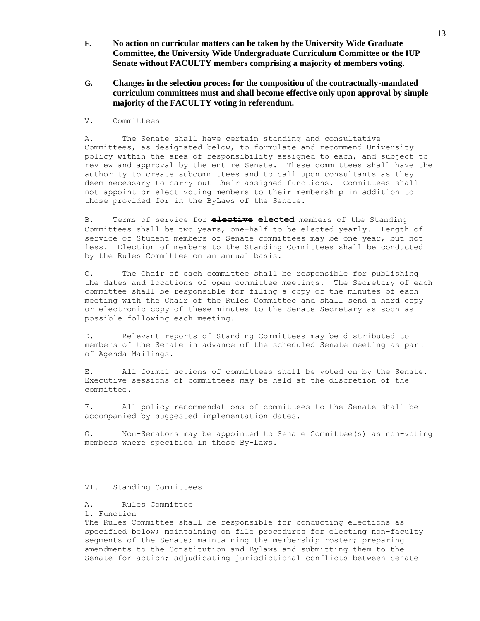- **F. No action on curricular matters can be taken by the University Wide Graduate Committee, the University Wide Undergraduate Curriculum Committee or the IUP Senate without FACULTY members comprising a majority of members voting.**
- **G. Changes in the selection process for the composition of the contractually-mandated curriculum committees must and shall become effective only upon approval by simple majority of the FACULTY voting in referendum.**
- V. Committees

 A. The Senate shall have certain standing and consultative Committees, as designated below, to formulate and recommend University policy within the area of responsibility assigned to each, and subject to review and approval by the entire Senate. These committees shall have the authority to create subcommittees and to call upon consultants as they deem necessary to carry out their assigned functions. Committees shall not appoint or elect voting members to their membership in addition to those provided for in the ByLaws of the Senate.

B. Terms of service for **elective elected** members of the Standing Committees shall be two years, one-half to be elected yearly. Length of service of Student members of Senate committees may be one year, but not less. Election of members to the Standing Committees shall be conducted by the Rules Committee on an annual basis.

 C. The Chair of each committee shall be responsible for publishing the dates and locations of open committee meetings. The Secretary of each committee shall be responsible for filing a copy of the minutes of each meeting with the Chair of the Rules Committee and shall send a hard copy or electronic copy of these minutes to the Senate Secretary as soon as possible following each meeting.

 D. Relevant reports of Standing Committees may be distributed to members of the Senate in advance of the scheduled Senate meeting as part of Agenda Mailings.

 E. All formal actions of committees shall be voted on by the Senate. Executive sessions of committees may be held at the discretion of the committee.

 F. All policy recommendations of committees to the Senate shall be accompanied by suggested implementation dates.

 G. Non-Senators may be appointed to Senate Committee(s) as non-voting members where specified in these By-Laws.

### VI. Standing Committees

### A. Rules Committee

1. Function

 The Rules Committee shall be responsible for conducting elections as specified below; maintaining on file procedures for electing non-faculty segments of the Senate; maintaining the membership roster; preparing amendments to the Constitution and Bylaws and submitting them to the Senate for action; adjudicating jurisdictional conflicts between Senate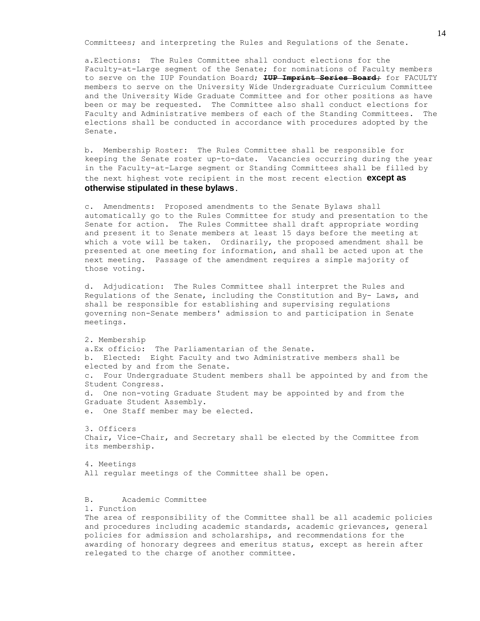Committees; and interpreting the Rules and Regulations of the Senate.

a.Elections: The Rules Committee shall conduct elections for the Faculty-at-Large segment of the Senate; for nominations of Faculty members to serve on the IUP Foundation Board; **IUP Imprint Series Board;** for FACULTY members to serve on the University Wide Undergraduate Curriculum Committee and the University Wide Graduate Committee and for other positions as have been or may be requested. The Committee also shall conduct elections for Faculty and Administrative members of each of the Standing Committees. The elections shall be conducted in accordance with procedures adopted by the Senate.

 b. Membership Roster: The Rules Committee shall be responsible for keeping the Senate roster up-to-date. Vacancies occurring during the year in the Faculty-at-Large segment or Standing Committees shall be filled by the next highest vote recipient in the most recent election **except as otherwise stipulated in these bylaws**.

 c. Amendments: Proposed amendments to the Senate Bylaws shall automatically go to the Rules Committee for study and presentation to the Senate for action. The Rules Committee shall draft appropriate wording and present it to Senate members at least 15 days before the meeting at which a vote will be taken. Ordinarily, the proposed amendment shall be presented at one meeting for information, and shall be acted upon at the next meeting. Passage of the amendment requires a simple majority of those voting.

 d. Adjudication: The Rules Committee shall interpret the Rules and Regulations of the Senate, including the Constitution and By- Laws, and shall be responsible for establishing and supervising regulations governing non-Senate members' admission to and participation in Senate meetings.

 2. Membership a.Ex officio: The Parliamentarian of the Senate. b. Elected: Eight Faculty and two Administrative members shall be elected by and from the Senate. c. Four Undergraduate Student members shall be appointed by and from the Student Congress. d. One non-voting Graduate Student may be appointed by and from the Graduate Student Assembly. e. One Staff member may be elected.

 3. Officers Chair, Vice-Chair, and Secretary shall be elected by the Committee from its membership.

 4. Meetings All regular meetings of the Committee shall be open.

B. Academic Committee

1. Function

 The area of responsibility of the Committee shall be all academic policies and procedures including academic standards, academic grievances, general policies for admission and scholarships, and recommendations for the awarding of honorary degrees and emeritus status, except as herein after relegated to the charge of another committee.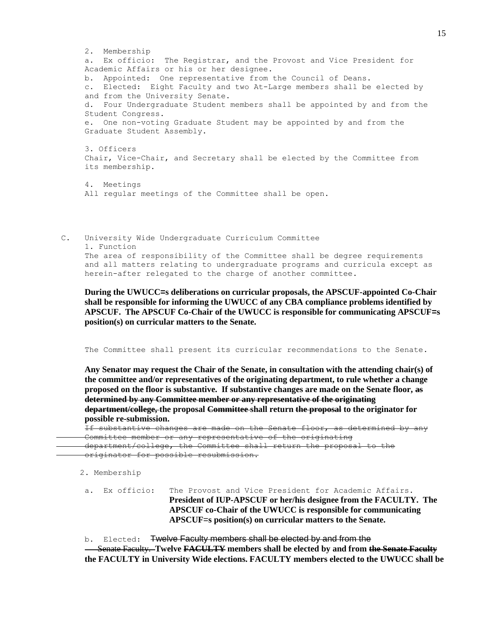2. Membership a. Ex officio: The Registrar, and the Provost and Vice President for Academic Affairs or his or her designee. b. Appointed: One representative from the Council of Deans. c. Elected: Eight Faculty and two At-Large members shall be elected by and from the University Senate. d. Four Undergraduate Student members shall be appointed by and from the Student Congress. e. One non-voting Graduate Student may be appointed by and from the Graduate Student Assembly. 3. Officers Chair, Vice-Chair, and Secretary shall be elected by the Committee from its membership. 4. Meetings All regular meetings of the Committee shall be open.

C. University Wide Undergraduate Curriculum Committee 1. Function The area of responsibility of the Committee shall be degree requirements and all matters relating to undergraduate programs and curricula except as herein-after relegated to the charge of another committee.

**During the UWUCC=s deliberations on curricular proposals, the APSCUF-appointed Co-Chair shall be responsible for informing the UWUCC of any CBA compliance problems identified by APSCUF. The APSCUF Co-Chair of the UWUCC is responsible for communicating APSCUF=s position(s) on curricular matters to the Senate.**

The Committee shall present its curricular recommendations to the Senate.

**Any Senator may request the Chair of the Senate, in consultation with the attending chair(s) of the committee and/or representatives of the originating department, to rule whether a change proposed on the floor is substantive. If substantive changes are made on the Senate floor, as determined by any Committee member or any representative of the originating department/college, the proposal Committee shall return the proposal to the originator for possible re-submission.** 

If substantive changes are made on the Senate floor, as determined by any Committee member or any representative of the originating department/college, the Committee shall return the proposal to the originator for possible resubmission.

2. Membership

- a. Ex officio: The Provost and Vice President for Academic Affairs. **President of IUP-APSCUF or her/his designee from the FACULTY. The APSCUF co-Chair of the UWUCC is responsible for communicating APSCUF**=**s position(s) on curricular matters to the Senate.**
- b. Elected: Twelve Faculty members shall be elected by and from the

 Senate Faculty. **Twelve FACULTY members shall be elected by and from the Senate Faculty the FACULTY in University Wide elections. FACULTY members elected to the UWUCC shall be**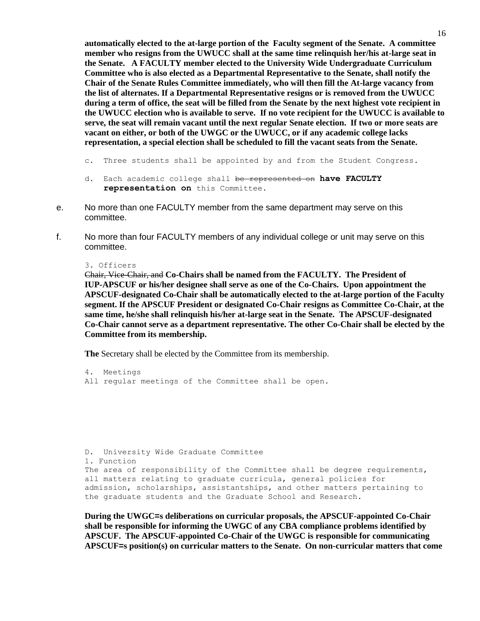**automatically elected to the at-large portion of the Faculty segment of the Senate. A committee member who resigns from the UWUCC shall at the same time relinquish her/his at-large seat in the Senate. A FACULTY member elected to the University Wide Undergraduate Curriculum Committee who is also elected as a Departmental Representative to the Senate, shall notify the Chair of the Senate Rules Committee immediately, who will then fill the At-large vacancy from the list of alternates. If a Departmental Representative resigns or is removed from the UWUCC during a term of office, the seat will be filled from the Senate by the next highest vote recipient in the UWUCC election who is available to serve. If no vote recipient for the UWUCC is available to serve, the seat will remain vacant until the next regular Senate election. If two or more seats are vacant on either, or both of the UWGC or the UWUCC, or if any academic college lacks representation, a special election shall be scheduled to fill the vacant seats from the Senate.**

- c. Three students shall be appointed by and from the Student Congress.
- d. Each academic college shall be represented on **have FACULTY representation on** this Committee.
- e. No more than one FACULTY member from the same department may serve on this committee.
- f. No more than four FACULTY members of any individual college or unit may serve on this committee.

### 3. Officers

Chair, Vice-Chair, and **Co-Chairs shall be named from the FACULTY. The President of IUP-APSCUF or his/her designee shall serve as one of the Co-Chairs. Upon appointment the APSCUF-designated Co-Chair shall be automatically elected to the at-large portion of the Faculty segment. If the APSCUF President or designated Co-Chair resigns as Committee Co-Chair, at the same time, he/she shall relinquish his/her at-large seat in the Senate. The APSCUF-designated Co-Chair cannot serve as a department representative. The other Co-Chair shall be elected by the Committee from its membership.**

**The** Secretary shall be elected by the Committee from its membership.

 4. Meetings All regular meetings of the Committee shall be open.

 D. University Wide Graduate Committee 1. Function The area of responsibility of the Committee shall be degree requirements, all matters relating to graduate curricula, general policies for admission, scholarships, assistantships, and other matters pertaining to the graduate students and the Graduate School and Research.

**During the UWGC=s deliberations on curricular proposals, the APSCUF-appointed Co-Chair shall be responsible for informing the UWGC of any CBA compliance problems identified by APSCUF. The APSCUF-appointed Co-Chair of the UWGC is responsible for communicating APSCUF=s position(s) on curricular matters to the Senate. On non-curricular matters that come**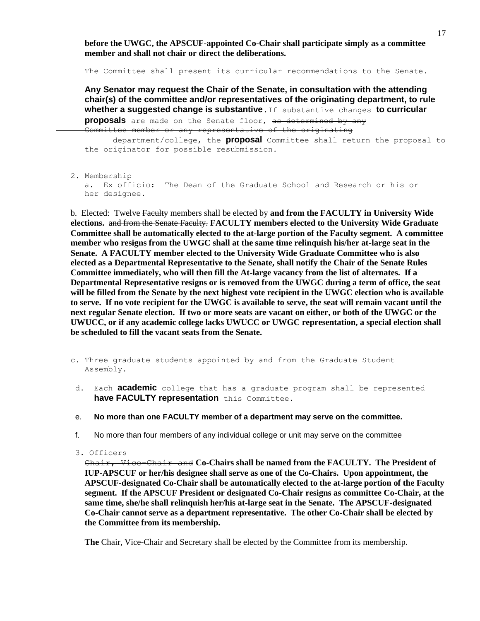**before the UWGC, the APSCUF-appointed Co-Chair shall participate simply as a committee member and shall not chair or direct the deliberations.** 

The Committee shall present its curricular recommendations to the Senate.

**Any Senator may request the Chair of the Senate, in consultation with the attending chair(s) of the committee and/or representatives of the originating department, to rule whether a suggested change is substantive.**If substantive changes **to curricular** 

**proposals** are made on the Senate floor, as determined by any Committee member or any representative of the originating

department/college, the **proposal** Committee shall return the proposal to the originator for possible resubmission.

2. Membership

 a. Ex officio: The Dean of the Graduate School and Research or his or her designee.

b. Elected: Twelve Faculty members shall be elected by **and from the FACULTY in University Wide elections.** and from the Senate Faculty. **FACULTY members elected to the University Wide Graduate Committee shall be automatically elected to the at-large portion of the Faculty segment. A committee member who resigns from the UWGC shall at the same time relinquish his/her at-large seat in the Senate. A FACULTY member elected to the University Wide Graduate Committee who is also elected as a Departmental Representative to the Senate, shall notify the Chair of the Senate Rules Committee immediately, who will then fill the At-large vacancy from the list of alternates. If a Departmental Representative resigns or is removed from the UWGC during a term of office, the seat will be filled from the Senate by the next highest vote recipient in the UWGC election who is available to serve. If no vote recipient for the UWGC is available to serve, the seat will remain vacant until the next regular Senate election. If two or more seats are vacant on either, or both of the UWGC or the UWUCC, or if any academic college lacks UWUCC or UWGC representation, a special election shall be scheduled to fill the vacant seats from the Senate.**

- c. Three graduate students appointed by and from the Graduate Student Assembly.
- d. Each **academic** college that has a graduate program shall be represented **have FACULTY representation** this Committee.
- e. **No more than one FACULTY member of a department may serve on the committee.**
- f. No more than four members of any individual college or unit may serve on the committee
- 3. Officers

Chair, Vice-Chair and **Co-Chairs shall be named from the FACULTY. The President of IUP-APSCUF or her/his designee shall serve as one of the Co-Chairs. Upon appointment, the APSCUF-designated Co-Chair shall be automatically elected to the at-large portion of the Faculty segment. If the APSCUF President or designated Co-Chair resigns as committee Co-Chair, at the same time, she/he shall relinquish her/his at-large seat in the Senate. The APSCUF-designated Co-Chair cannot serve as a department representative. The other Co-Chair shall be elected by the Committee from its membership.**

**The** Chair, Vice-Chair and Secretary shall be elected by the Committee from its membership.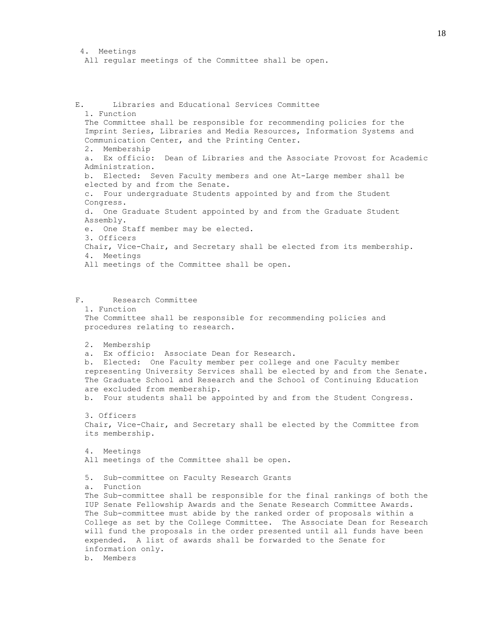```
 4. Meetings 
All regular meetings of the Committee shall be open.
```
 E. Libraries and Educational Services Committee 1. Function The Committee shall be responsible for recommending policies for the Imprint Series, Libraries and Media Resources, Information Systems and Communication Center, and the Printing Center. 2. Membership a. Ex officio: Dean of Libraries and the Associate Provost for Academic Administration. b. Elected: Seven Faculty members and one At-Large member shall be elected by and from the Senate. c. Four undergraduate Students appointed by and from the Student Congress. d. One Graduate Student appointed by and from the Graduate Student Assembly. e. One Staff member may be elected. 3. Officers Chair, Vice-Chair, and Secretary shall be elected from its membership. 4. Meetings All meetings of the Committee shall be open. F. Research Committee 1. Function The Committee shall be responsible for recommending policies and procedures relating to research. 2. Membership a. Ex officio: Associate Dean for Research. b. Elected: One Faculty member per college and one Faculty member representing University Services shall be elected by and from the Senate. The Graduate School and Research and the School of Continuing Education are excluded from membership. b. Four students shall be appointed by and from the Student Congress. 3. Officers Chair, Vice-Chair, and Secretary shall be elected by the Committee from its membership. 4. Meetings All meetings of the Committee shall be open. 5. Sub-committee on Faculty Research Grants a. Function The Sub-committee shall be responsible for the final rankings of both the IUP Senate Fellowship Awards and the Senate Research Committee Awards. The Sub-committee must abide by the ranked order of proposals within a College as set by the College Committee. The Associate Dean for Research will fund the proposals in the order presented until all funds have been expended. A list of awards shall be forwarded to the Senate for

 information only. b. Members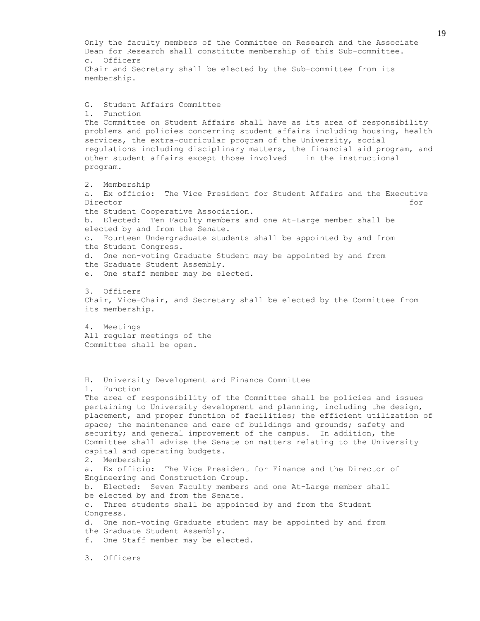Only the faculty members of the Committee on Research and the Associate Dean for Research shall constitute membership of this Sub-committee. c. Officers Chair and Secretary shall be elected by the Sub-committee from its membership. G. Student Affairs Committee 1. Function The Committee on Student Affairs shall have as its area of responsibility problems and policies concerning student affairs including housing, health services, the extra-curricular program of the University, social regulations including disciplinary matters, the financial aid program, and other student affairs except those involved in the instructional program. 2. Membership a. Ex officio: The Vice President for Student Affairs and the Executive Director for the contract of the contract of the contract of the contract of the contract of the contract of the contract of the contract of the contract of the contract of the contract of the contract of the contract of t the Student Cooperative Association. b. Elected: Ten Faculty members and one At-Large member shall be elected by and from the Senate. c. Fourteen Undergraduate students shall be appointed by and from the Student Congress. d. One non-voting Graduate Student may be appointed by and from the Graduate Student Assembly. e. One staff member may be elected. 3. Officers Chair, Vice-Chair, and Secretary shall be elected by the Committee from its membership. 4. Meetings All regular meetings of the Committee shall be open. H. University Development and Finance Committee 1. Function The area of responsibility of the Committee shall be policies and issues pertaining to University development and planning, including the design, placement, and proper function of facilities; the efficient utilization of space; the maintenance and care of buildings and grounds; safety and security; and general improvement of the campus. In addition, the Committee shall advise the Senate on matters relating to the University capital and operating budgets. 2. Membership a. Ex officio: The Vice President for Finance and the Director of Engineering and Construction Group. b. Elected: Seven Faculty members and one At-Large member shall be elected by and from the Senate. c. Three students shall be appointed by and from the Student Congress. d. One non-voting Graduate student may be appointed by and from the Graduate Student Assembly. f. One Staff member may be elected.

3. Officers

19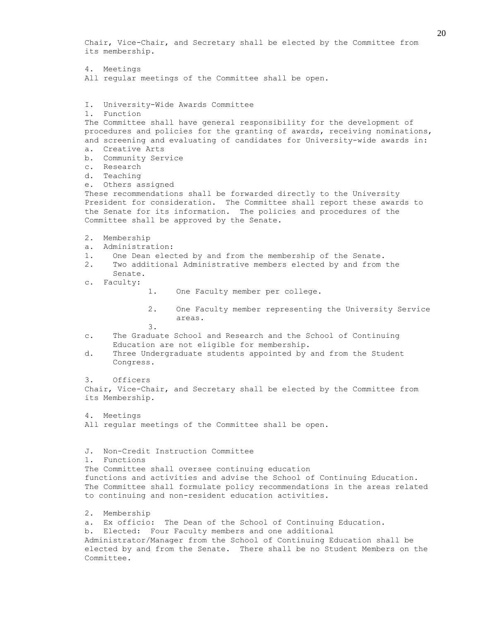Chair, Vice-Chair, and Secretary shall be elected by the Committee from its membership. 4. Meetings All regular meetings of the Committee shall be open. I. University-Wide Awards Committee 1. Function The Committee shall have general responsibility for the development of procedures and policies for the granting of awards, receiving nominations, and screening and evaluating of candidates for University-wide awards in: a. Creative Arts b. Community Service c. Research d. Teaching e. Others assigned These recommendations shall be forwarded directly to the University President for consideration. The Committee shall report these awards to the Senate for its information. The policies and procedures of the Committee shall be approved by the Senate. 2. Membership a. Administration: 1. One Dean elected by and from the membership of the Senate. 2. Two additional Administrative members elected by and from the Senate. c. Faculty: 1. One Faculty member per college. 2. One Faculty member representing the University Service areas. 3. c. The Graduate School and Research and the School of Continuing Education are not eligible for membership. d. Three Undergraduate students appointed by and from the Student Congress. 3. Officers Chair, Vice-Chair, and Secretary shall be elected by the Committee from its Membership. 4. Meetings All regular meetings of the Committee shall be open. J. Non-Credit Instruction Committee 1. Functions The Committee shall oversee continuing education functions and activities and advise the School of Continuing Education. The Committee shall formulate policy recommendations in the areas related to continuing and non-resident education activities. 2. Membership a. Ex officio: The Dean of the School of Continuing Education. b. Elected: Four Faculty members and one additional Administrator/Manager from the School of Continuing Education shall be elected by and from the Senate. There shall be no Student Members on the Committee.

20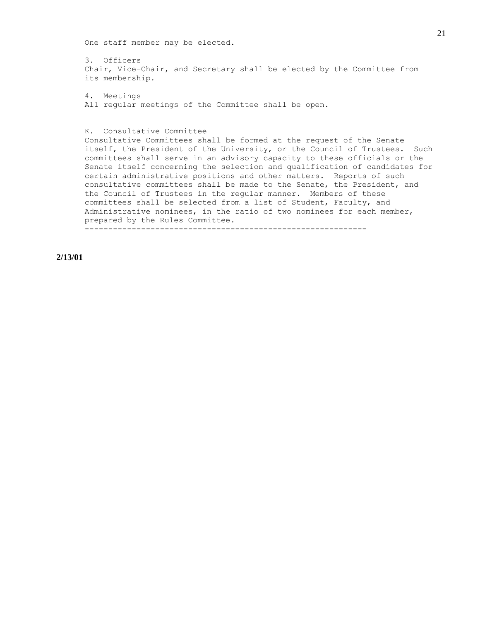One staff member may be elected.

 3. Officers Chair, Vice-Chair, and Secretary shall be elected by the Committee from its membership.

 4. Meetings All regular meetings of the Committee shall be open.

K. Consultative Committee

 Consultative Committees shall be formed at the request of the Senate itself, the President of the University, or the Council of Trustees. Such committees shall serve in an advisory capacity to these officials or the Senate itself concerning the selection and qualification of candidates for certain administrative positions and other matters. Reports of such consultative committees shall be made to the Senate, the President, and the Council of Trustees in the regular manner. Members of these committees shall be selected from a list of Student, Faculty, and Administrative nominees, in the ratio of two nominees for each member, prepared by the Rules Committee. ------------------------------------------------------------

**2/13/01**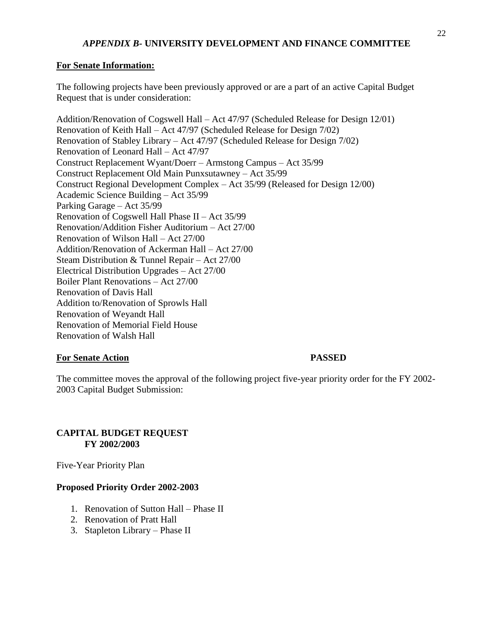# *APPENDIX B-* **UNIVERSITY DEVELOPMENT AND FINANCE COMMITTEE**

### **For Senate Information:**

The following projects have been previously approved or are a part of an active Capital Budget Request that is under consideration:

Addition/Renovation of Cogswell Hall – Act 47/97 (Scheduled Release for Design 12/01) Renovation of Keith Hall – Act 47/97 (Scheduled Release for Design 7/02) Renovation of Stabley Library – Act 47/97 (Scheduled Release for Design 7/02) Renovation of Leonard Hall – Act 47/97 Construct Replacement Wyant/Doerr – Armstong Campus – Act 35/99 Construct Replacement Old Main Punxsutawney – Act 35/99 Construct Regional Development Complex – Act 35/99 (Released for Design 12/00) Academic Science Building – Act 35/99 Parking Garage – Act 35/99 Renovation of Cogswell Hall Phase II – Act 35/99 Renovation/Addition Fisher Auditorium – Act 27/00 Renovation of Wilson Hall – Act 27/00 Addition/Renovation of Ackerman Hall – Act 27/00 Steam Distribution & Tunnel Repair – Act 27/00 Electrical Distribution Upgrades – Act 27/00 Boiler Plant Renovations – Act 27/00 Renovation of Davis Hall Addition to/Renovation of Sprowls Hall Renovation of Weyandt Hall Renovation of Memorial Field House Renovation of Walsh Hall

## **For Senate Action PASSED**

The committee moves the approval of the following project five-year priority order for the FY 2002- 2003 Capital Budget Submission:

# **CAPITAL BUDGET REQUEST FY 2002/2003**

Five-Year Priority Plan

## **Proposed Priority Order 2002-2003**

- 1. Renovation of Sutton Hall Phase II
- 2. Renovation of Pratt Hall
- 3. Stapleton Library Phase II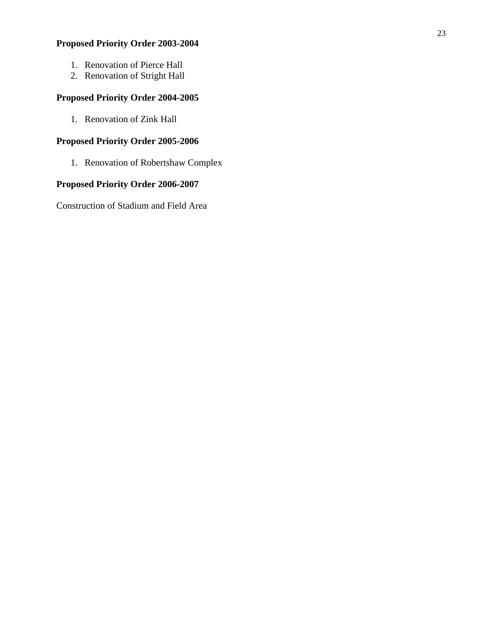# **Proposed Priority Order 2003-2004**

- 1. Renovation of Pierce Hall
- 2. Renovation of Stright Hall

# **Proposed Priority Order 2004-2005**

1. Renovation of Zink Hall

# **Proposed Priority Order 2005-2006**

1. Renovation of Robertshaw Complex

# **Proposed Priority Order 2006-2007**

Construction of Stadium and Field Area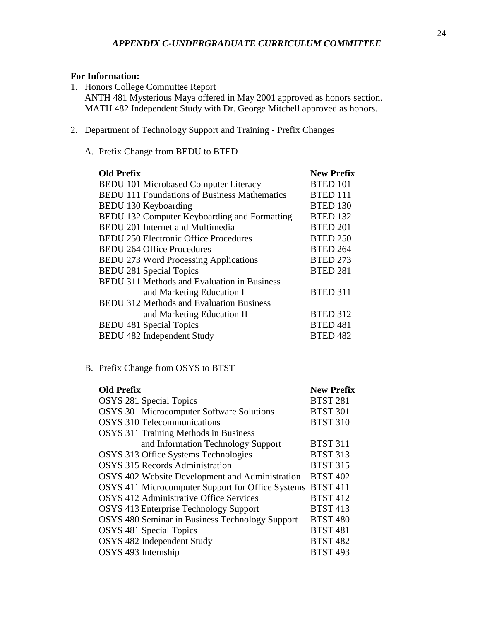# **For Information:**

- 1. Honors College Committee Report ANTH 481 Mysterious Maya offered in May 2001 approved as honors section. MATH 482 Independent Study with Dr. George Mitchell approved as honors.
- 2. Department of Technology Support and Training Prefix Changes
	- A. Prefix Change from BEDU to BTED

| <b>Old Prefix</b>                                   | <b>New Prefix</b> |
|-----------------------------------------------------|-------------------|
| <b>BEDU 101 Microbased Computer Literacy</b>        | <b>BTED 101</b>   |
| <b>BEDU 111 Foundations of Business Mathematics</b> | <b>BTED 111</b>   |
| <b>BEDU 130 Keyboarding</b>                         | <b>BTED 130</b>   |
| BEDU 132 Computer Keyboarding and Formatting        | <b>BTED 132</b>   |
| <b>BEDU 201 Internet and Multimedia</b>             | <b>BTED 201</b>   |
| <b>BEDU 250 Electronic Office Procedures</b>        | <b>BTED 250</b>   |
| <b>BEDU 264 Office Procedures</b>                   | <b>BTED 264</b>   |
| <b>BEDU 273 Word Processing Applications</b>        | <b>BTED 273</b>   |
| <b>BEDU 281 Special Topics</b>                      | <b>BTED 281</b>   |
| <b>BEDU 311 Methods and Evaluation in Business</b>  |                   |
| and Marketing Education I                           | <b>BTED 311</b>   |
| <b>BEDU 312 Methods and Evaluation Business</b>     |                   |
| and Marketing Education II                          | <b>BTED 312</b>   |
| <b>BEDU 481 Special Topics</b>                      | <b>BTED 481</b>   |
| <b>BEDU 482 Independent Study</b>                   | <b>BTED 482</b>   |

# B. Prefix Change from OSYS to BTST

| <b>Old Prefix</b>                                 | <b>New Prefix</b> |
|---------------------------------------------------|-------------------|
| <b>OSYS 281 Special Topics</b>                    | <b>BTST 281</b>   |
| <b>OSYS 301 Microcomputer Software Solutions</b>  | <b>BTST 301</b>   |
| <b>OSYS 310 Telecommunications</b>                | <b>BTST 310</b>   |
| <b>OSYS</b> 311 Training Methods in Business      |                   |
| and Information Technology Support                | <b>BTST 311</b>   |
| OSYS 313 Office Systems Technologies              | <b>BTST 313</b>   |
| <b>OSYS 315 Records Administration</b>            | <b>BTST 315</b>   |
| OSYS 402 Website Development and Administration   | <b>BTST 402</b>   |
| OSYS 411 Microcomputer Support for Office Systems | <b>BTST 411</b>   |
| <b>OSYS 412 Administrative Office Services</b>    | <b>BTST 412</b>   |
| OSYS 413 Enterprise Technology Support            | <b>BTST 413</b>   |
| OSYS 480 Seminar in Business Technology Support   | <b>BTST 480</b>   |
| <b>OSYS</b> 481 Special Topics                    | <b>BTST 481</b>   |
| OSYS 482 Independent Study                        | <b>BTST 482</b>   |
| OSYS 493 Internship                               | <b>BTST 493</b>   |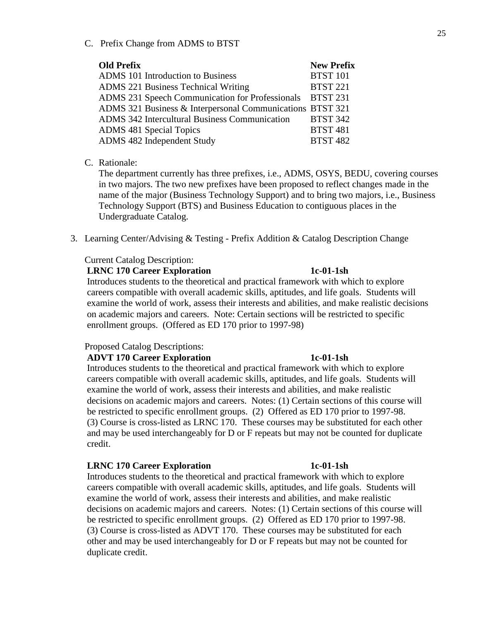C. Prefix Change from ADMS to BTST

| <b>Old Prefix</b>                                         | <b>New Prefix</b> |
|-----------------------------------------------------------|-------------------|
| ADMS 101 Introduction to Business                         | <b>BTST 101</b>   |
| <b>ADMS 221 Business Technical Writing</b>                | <b>BTST 221</b>   |
| ADMS 231 Speech Communication for Professionals BTST 231  |                   |
| ADMS 321 Business & Interpersonal Communications BTST 321 |                   |
| <b>ADMS</b> 342 Intercultural Business Communication      | <b>BTST 342</b>   |
| <b>ADMS 481 Special Topics</b>                            | <b>BTST 481</b>   |
| ADMS 482 Independent Study                                | <b>BTST 482</b>   |
|                                                           |                   |

### C. Rationale:

The department currently has three prefixes, i.e., ADMS, OSYS, BEDU, covering courses in two majors. The two new prefixes have been proposed to reflect changes made in the name of the major (Business Technology Support) and to bring two majors, i.e., Business Technology Support (BTS) and Business Education to contiguous places in the Undergraduate Catalog.

3. Learning Center/Advising & Testing - Prefix Addition & Catalog Description Change

### Current Catalog Description:

### **LRNC 170 Career Exploration 1c-01-1sh**

Introduces students to the theoretical and practical framework with which to explore careers compatible with overall academic skills, aptitudes, and life goals. Students will examine the world of work, assess their interests and abilities, and make realistic decisions on academic majors and careers. Note: Certain sections will be restricted to specific enrollment groups. (Offered as ED 170 prior to 1997-98)

# Proposed Catalog Descriptions:

## **ADVT 170 Career Exploration 1c-01-1sh**

Introduces students to the theoretical and practical framework with which to explore careers compatible with overall academic skills, aptitudes, and life goals. Students will examine the world of work, assess their interests and abilities, and make realistic decisions on academic majors and careers. Notes: (1) Certain sections of this course will be restricted to specific enrollment groups. (2) Offered as ED 170 prior to 1997-98. (3) Course is cross-listed as LRNC 170. These courses may be substituted for each other and may be used interchangeably for D or F repeats but may not be counted for duplicate credit.

### **LRNC 170 Career Exploration 1c-01-1sh**

Introduces students to the theoretical and practical framework with which to explore careers compatible with overall academic skills, aptitudes, and life goals. Students will examine the world of work, assess their interests and abilities, and make realistic decisions on academic majors and careers. Notes: (1) Certain sections of this course will be restricted to specific enrollment groups. (2) Offered as ED 170 prior to 1997-98. (3) Course is cross-listed as ADVT 170. These courses may be substituted for each other and may be used interchangeably for D or F repeats but may not be counted for duplicate credit.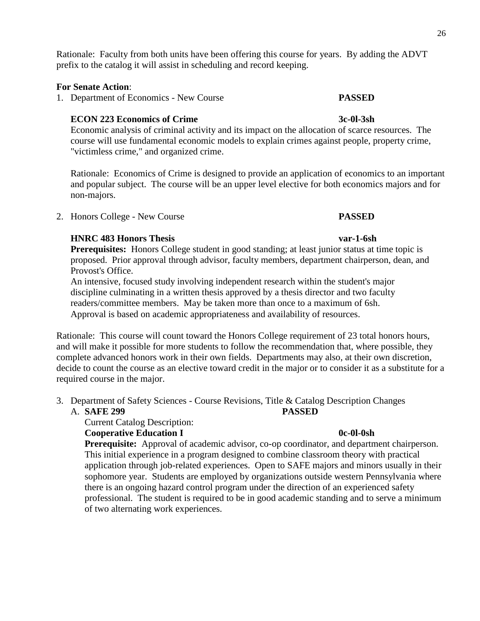Rationale: Faculty from both units have been offering this course for years. By adding the ADVT prefix to the catalog it will assist in scheduling and record keeping.

### **For Senate Action**:

1. Department of Economics - New Course **PASSED**

### **ECON 223 Economics of Crime 3c-0l-3sh**

Economic analysis of criminal activity and its impact on the allocation of scarce resources. The course will use fundamental economic models to explain crimes against people, property crime, "victimless crime," and organized crime.

Rationale: Economics of Crime is designed to provide an application of economics to an important and popular subject. The course will be an upper level elective for both economics majors and for non-majors.

2. Honors College - New Course **PASSED**

## **HNRC 483 Honors Thesis var-1-6sh**

**Prerequisites:** Honors College student in good standing; at least junior status at time topic is proposed. Prior approval through advisor, faculty members, department chairperson, dean, and Provost's Office.

 An intensive, focused study involving independent research within the student's major discipline culminating in a written thesis approved by a thesis director and two faculty readers/committee members. May be taken more than once to a maximum of 6sh. Approval is based on academic appropriateness and availability of resources.

Rationale: This course will count toward the Honors College requirement of 23 total honors hours, and will make it possible for more students to follow the recommendation that, where possible, they complete advanced honors work in their own fields. Departments may also, at their own discretion, decide to count the course as an elective toward credit in the major or to consider it as a substitute for a required course in the major.

3. Department of Safety Sciences - Course Revisions, Title & Catalog Description Changes A. **SAFE 299 PASSED**

Current Catalog Description:

## **Cooperative Education I** 0c-0l-0sh

**Prerequisite:** Approval of academic advisor, co-op coordinator, and department chairperson. This initial experience in a program designed to combine classroom theory with practical application through job-related experiences. Open to SAFE majors and minors usually in their sophomore year. Students are employed by organizations outside western Pennsylvania where there is an ongoing hazard control program under the direction of an experienced safety professional. The student is required to be in good academic standing and to serve a minimum of two alternating work experiences.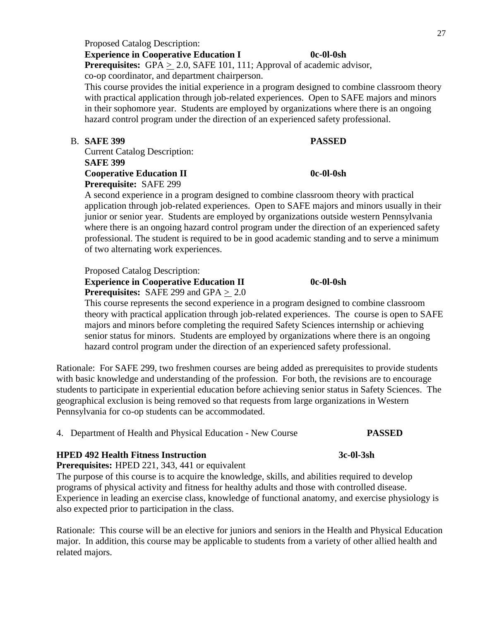# Proposed Catalog Description: **Experience in Cooperative Education I 0c-0l-0sh**

**Prerequisites:** GPA > 2.0, SAFE 101, 111; Approval of academic advisor, co-op coordinator, and department chairperson.

This course provides the initial experience in a program designed to combine classroom theory with practical application through job-related experiences. Open to SAFE majors and minors in their sophomore year. Students are employed by organizations where there is an ongoing hazard control program under the direction of an experienced safety professional.

# B. **SAFE 399 PASSED**

Current Catalog Description: **SAFE 399**

# **Cooperative Education II** 0c-0l-0sh **Prerequisite:** SAFE 299

A second experience in a program designed to combine classroom theory with practical application through job-related experiences. Open to SAFE majors and minors usually in their junior or senior year. Students are employed by organizations outside western Pennsylvania where there is an ongoing hazard control program under the direction of an experienced safety professional. The student is required to be in good academic standing and to serve a minimum of two alternating work experiences.

Proposed Catalog Description:

**Experience in Cooperative Education II** 0c-0l-0sh **Prerequisites:** SAFE 299 and GPA > 2.0

This course represents the second experience in a program designed to combine classroom theory with practical application through job-related experiences. The course is open to SAFE majors and minors before completing the required Safety Sciences internship or achieving senior status for minors. Students are employed by organizations where there is an ongoing hazard control program under the direction of an experienced safety professional.

Rationale: For SAFE 299, two freshmen courses are being added as prerequisites to provide students with basic knowledge and understanding of the profession. For both, the revisions are to encourage students to participate in experiential education before achieving senior status in Safety Sciences. The geographical exclusion is being removed so that requests from large organizations in Western Pennsylvania for co-op students can be accommodated.

4. Department of Health and Physical Education - New Course **PASSED**

# **HPED 492 Health Fitness Instruction 3c-0l-3sh**

# **Prerequisites:** HPED 221, 343, 441 or equivalent

The purpose of this course is to acquire the knowledge, skills, and abilities required to develop programs of physical activity and fitness for healthy adults and those with controlled disease. Experience in leading an exercise class, knowledge of functional anatomy, and exercise physiology is also expected prior to participation in the class.

Rationale: This course will be an elective for juniors and seniors in the Health and Physical Education major. In addition, this course may be applicable to students from a variety of other allied health and related majors.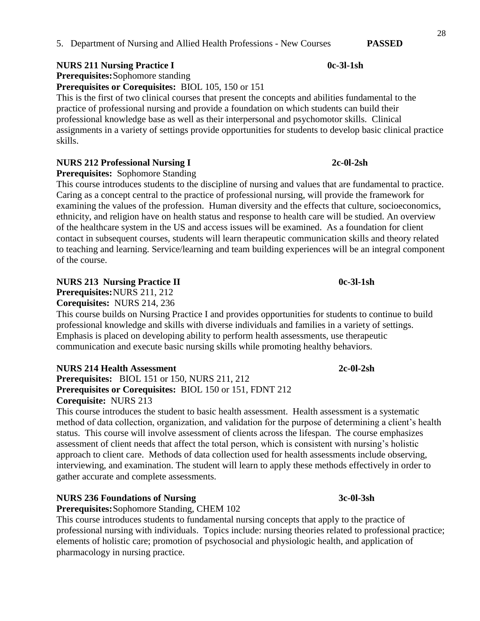**NURS 211 Nursing Practice I****0c-3l-1sh**

**Prerequisites:**Sophomore standing

**Prerequisites or Corequisites:** BIOL 105, 150 or 151

This is the first of two clinical courses that present the concepts and abilities fundamental to the practice of professional nursing and provide a foundation on which students can build their professional knowledge base as well as their interpersonal and psychomotor skills. Clinical assignments in a variety of settings provide opportunities for students to develop basic clinical practice skills.

# **NURS 212 Professional Nursing I****2c-0l-2sh**

**Prerequisites:** Sophomore Standing

This course introduces students to the discipline of nursing and values that are fundamental to practice. Caring as a concept central to the practice of professional nursing, will provide the framework for examining the values of the profession. Human diversity and the effects that culture, socioeconomics, ethnicity, and religion have on health status and response to health care will be studied. An overview of the healthcare system in the US and access issues will be examined. As a foundation for client contact in subsequent courses, students will learn therapeutic communication skills and theory related to teaching and learning. Service/learning and team building experiences will be an integral component of the course.

# **NURS 213 Nursing Practice II 0c-3l-1sh**

**Prerequisites:**NURS 211, 212

**Corequisites:** NURS 214, 236

This course builds on Nursing Practice I and provides opportunities for students to continue to build professional knowledge and skills with diverse individuals and families in a variety of settings. Emphasis is placed on developing ability to perform health assessments, use therapeutic communication and execute basic nursing skills while promoting healthy behaviors.

# **NURS 214 Health Assessment 2c-0l-2sh**

**Prerequisites:** BIOL 151 or 150, NURS 211, 212 **Prerequisites or Corequisites:** BIOL 150 or 151, FDNT 212 **Corequisite:** NURS 213

This course introduces the student to basic health assessment. Health assessment is a systematic method of data collection, organization, and validation for the purpose of determining a client's health status. This course will involve assessment of clients across the lifespan. The course emphasizes assessment of client needs that affect the total person, which is consistent with nursing's holistic approach to client care. Methods of data collection used for health assessments include observing, interviewing, and examination. The student will learn to apply these methods effectively in order to gather accurate and complete assessments.

# **NURS 236 Foundations of Nursing 3c-0l-3sh**

**Prerequisites:**Sophomore Standing, CHEM 102

This course introduces students to fundamental nursing concepts that apply to the practice of professional nursing with individuals. Topics include: nursing theories related to professional practice; elements of holistic care; promotion of psychosocial and physiologic health, and application of pharmacology in nursing practice.

28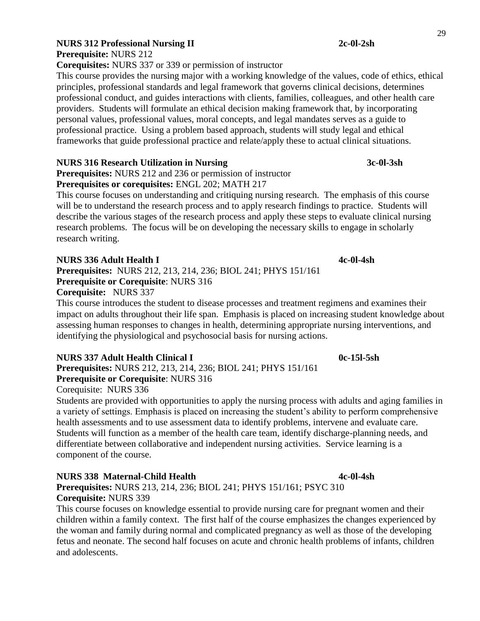**Prerequisite:** NURS 212

**Corequisites:** NURS 337 or 339 or permission of instructor

This course provides the nursing major with a working knowledge of the values, code of ethics, ethical principles, professional standards and legal framework that governs clinical decisions, determines professional conduct, and guides interactions with clients, families, colleagues, and other health care providers. Students will formulate an ethical decision making framework that, by incorporating personal values, professional values, moral concepts, and legal mandates serves as a guide to professional practice. Using a problem based approach, students will study legal and ethical frameworks that guide professional practice and relate/apply these to actual clinical situations.

# **NURS 316 Research Utilization in Nursing 3c-0l-3sh**

**Prerequisites:** NURS 212 and 236 or permission of instructor

# **Prerequisites or corequisites:** ENGL 202; MATH 217

This course focuses on understanding and critiquing nursing research. The emphasis of this course will be to understand the research process and to apply research findings to practice. Students will describe the various stages of the research process and apply these steps to evaluate clinical nursing research problems. The focus will be on developing the necessary skills to engage in scholarly research writing.

# **NURS 336 Adult Health I 4c-0l-4sh**

**Prerequisites:** NURS 212, 213, 214, 236; BIOL 241; PHYS 151/161 **Prerequisite or Corequisite**: NURS 316 **Corequisite:** NURS 337

This course introduces the student to disease processes and treatment regimens and examines their impact on adults throughout their life span. Emphasis is placed on increasing student knowledge about assessing human responses to changes in health, determining appropriate nursing interventions, and identifying the physiological and psychosocial basis for nursing actions.

# **NURS 337 Adult Health Clinical I 0c-15l-5sh**

**Prerequisites:** NURS 212, 213, 214, 236; BIOL 241; PHYS 151/161 **Prerequisite or Corequisite**: NURS 316

# Corequisite: NURS 336

Students are provided with opportunities to apply the nursing process with adults and aging families in a variety of settings. Emphasis is placed on increasing the student's ability to perform comprehensive health assessments and to use assessment data to identify problems, intervene and evaluate care. Students will function as a member of the health care team, identify discharge-planning needs, and differentiate between collaborative and independent nursing activities. Service learning is a component of the course.

# **NURS 338 Maternal-Child Health 4c-0l-4sh**

**Prerequisites:** NURS 213, 214, 236; BIOL 241; PHYS 151/161; PSYC 310 **Corequisite:** NURS 339

This course focuses on knowledge essential to provide nursing care for pregnant women and their children within a family context. The first half of the course emphasizes the changes experienced by the woman and family during normal and complicated pregnancy as well as those of the developing fetus and neonate. The second half focuses on acute and chronic health problems of infants, children and adolescents.

29

# **NURS 312 Professional Nursing II 2c-0l-2sh**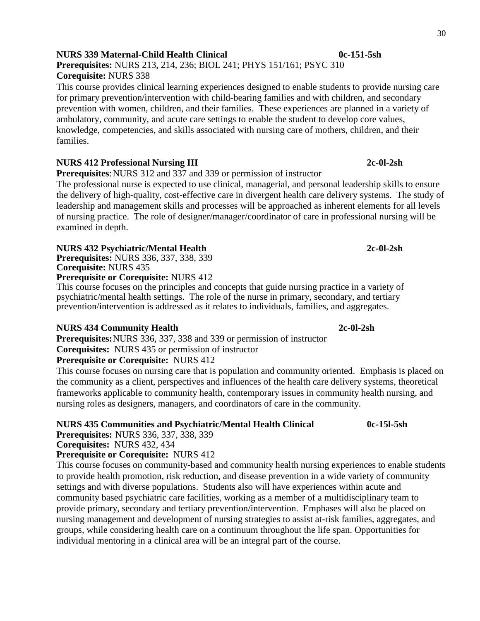# **NURS 339 Maternal-Child Health Clinical 0c-151-5sh**

# **Prerequisites:** NURS 213, 214, 236; BIOL 241; PHYS 151/161; PSYC 310 **Corequisite:** NURS 338

This course provides clinical learning experiences designed to enable students to provide nursing care for primary prevention/intervention with child-bearing families and with children, and secondary prevention with women, children, and their families. These experiences are planned in a variety of ambulatory, community, and acute care settings to enable the student to develop core values, knowledge, competencies, and skills associated with nursing care of mothers, children, and their families.

# **NURS 412 Professional Nursing III 2c-0l-2sh**

**Prerequisites:** NURS 312 and 337 and 339 or permission of instructor

The professional nurse is expected to use clinical, managerial, and personal leadership skills to ensure the delivery of high-quality, cost-effective care in divergent health care delivery systems. The study of leadership and management skills and processes will be approached as inherent elements for all levels of nursing practice. The role of designer/manager/coordinator of care in professional nursing will be examined in depth.

# **NURS 432 Psychiatric/Mental Health 2c-0l-2sh**

**Prerequisites:** NURS 336, 337, 338, 339 **Corequisite:** NURS 435

## **Prerequisite or Corequisite:** NURS 412

This course focuses on the principles and concepts that guide nursing practice in a variety of psychiatric/mental health settings. The role of the nurse in primary, secondary, and tertiary prevention/intervention is addressed as it relates to individuals, families, and aggregates.

# **NURS 434 Community Health 2c-0l-2sh**

**Prerequisites:**NURS 336, 337, 338 and 339 or permission of instructor **Corequisites:** NURS 435 or permission of instructor

**Prerequisite or Corequisite:** NURS 412

This course focuses on nursing care that is population and community oriented. Emphasis is placed on the community as a client, perspectives and influences of the health care delivery systems, theoretical frameworks applicable to community health, contemporary issues in community health nursing, and nursing roles as designers, managers, and coordinators of care in the community.

# **NURS 435 Communities and Psychiatric/Mental Health Clinical 0c-15l-5sh**

**Prerequisites:** NURS 336, 337, 338, 339

**Corequisites:** NURS 432, 434

# **Prerequisite or Corequisite:** NURS 412

This course focuses on community-based and community health nursing experiences to enable students to provide health promotion, risk reduction, and disease prevention in a wide variety of community settings and with diverse populations. Students also will have experiences within acute and community based psychiatric care facilities, working as a member of a multidisciplinary team to provide primary, secondary and tertiary prevention/intervention. Emphases will also be placed on nursing management and development of nursing strategies to assist at-risk families, aggregates, and groups, while considering health care on a continuum throughout the life span. Opportunities for individual mentoring in a clinical area will be an integral part of the course.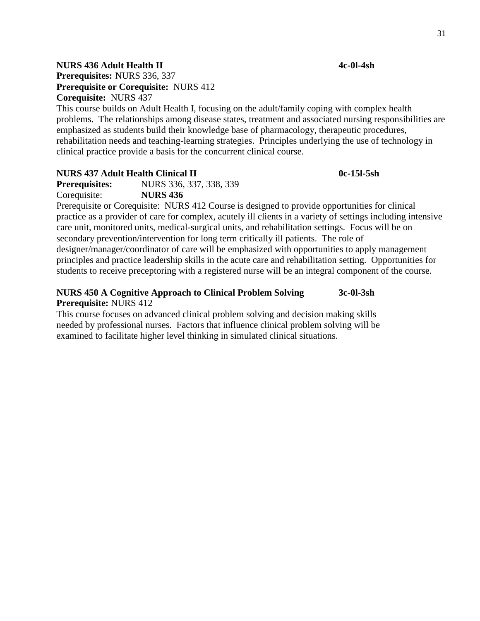# **NURS 436 Adult Health II 4c-0l-4sh**

**Prerequisites:** NURS 336, 337 **Prerequisite or Corequisite:** NURS 412 **Corequisite:** NURS 437

This course builds on Adult Health I, focusing on the adult/family coping with complex health problems. The relationships among disease states, treatment and associated nursing responsibilities are emphasized as students build their knowledge base of pharmacology, therapeutic procedures, rehabilitation needs and teaching-learning strategies. Principles underlying the use of technology in clinical practice provide a basis for the concurrent clinical course.

# **NURS 437 Adult Health Clinical II 0c-15l-5sh**

**Prerequisites:** NURS 336, 337, 338, 339 Corequisite: **NURS 436** 

Prerequisite or Corequisite: NURS 412 Course is designed to provide opportunities for clinical practice as a provider of care for complex, acutely ill clients in a variety of settings including intensive care unit, monitored units, medical-surgical units, and rehabilitation settings. Focus will be on secondary prevention/intervention for long term critically ill patients. The role of designer/manager/coordinator of care will be emphasized with opportunities to apply management principles and practice leadership skills in the acute care and rehabilitation setting. Opportunities for students to receive preceptoring with a registered nurse will be an integral component of the course.

## **NURS 450 A Cognitive Approach to Clinical Problem Solving 3c-0l-3sh Prerequisite:** NURS 412

This course focuses on advanced clinical problem solving and decision making skills needed by professional nurses. Factors that influence clinical problem solving will be examined to facilitate higher level thinking in simulated clinical situations.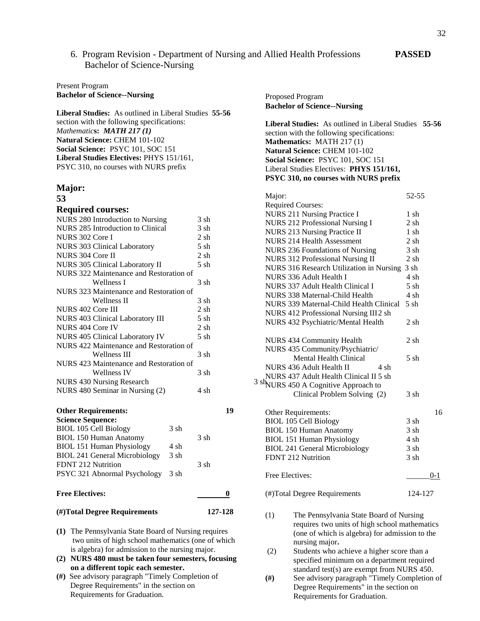## 6. Program Revision - Department of Nursing and Allied Health Professions **PASSED** Bachelor of Science-Nursing

### Present Program **Bachelor of Science--Nursing**

**Liberal Studies:** As outlined in Liberal Studies **55-56**  section with the following specifications: *Mathematic***s:** *MATH 217 (1)* **Natural Science:** CHEM 101-102 **Social Science:** PSYC 101, SOC 151 **Liberal Studies Electives:** PHYS 151/161, PSYC 310, no courses with NURS prefix

### **Major: 53**

### **Required courses:**

| <b>Other Requirements:</b> |                                         |           | 19 |      |
|----------------------------|-----------------------------------------|-----------|----|------|
|                            | NURS 480 Seminar in Nursing (2)         | 4 sh      |    |      |
|                            | NURS 430 Nursing Research               |           |    | 3 sh |
|                            | <b>Wellness IV</b>                      | 3 sh      |    |      |
|                            | NURS 423 Maintenance and Restoration of |           |    |      |
|                            | Wellness III                            | 3 sh      |    |      |
|                            | NURS 422 Maintenance and Restoration of |           |    |      |
|                            | NURS 405 Clinical Laboratory IV         | $5 \,$ sh |    |      |
| NURS 404 Core IV           |                                         | $2 \,$ sh |    |      |
|                            | NURS 403 Clinical Laboratory III        | 5 sh      |    |      |
| NURS 402 Core III          |                                         | $2 \,$ sh |    |      |
|                            | Wellness II                             | 3 sh      |    |      |
|                            | NURS 323 Maintenance and Restoration of |           |    |      |
|                            | Wellness I                              | 3 sh      |    |      |
|                            | NURS 322 Maintenance and Restoration of |           |    |      |
|                            | NURS 305 Clinical Laboratory II         | 5 sh      |    |      |
| NURS 304 Core II           |                                         | $2 \,$ sh |    |      |
|                            | <b>NURS 303 Clinical Laboratory</b>     | $5 \,$ sh |    |      |
| NURS 302 Core I            |                                         | $2 \,$ sh |    |      |
|                            | NURS 285 Introduction to Clinical       | 3 sh      |    |      |
|                            | NURS 280 Introduction to Nursing        | 3 sh      |    |      |

- **(1)** The Pennsylvania State Board of Nursing requires two units of high school mathematics (one of which is algebra) for admission to the nursing major.
- **(2) NURS 480 must be taken four semesters, focusing on a different topic each semester.**
- **(#)** See advisory paragraph "Timely Completion of Degree Requirements" in the section on Requirements for Graduation.

| Proposed Program<br><b>Bachelor of Science--Nursing</b>                                                                                                                                                                                                                                           |           |
|---------------------------------------------------------------------------------------------------------------------------------------------------------------------------------------------------------------------------------------------------------------------------------------------------|-----------|
| Liberal Studies: As outlined in Liberal Studies 55-56<br>section with the following specifications:<br>Mathematics: MATH 217(1)<br><b>Natural Science: CHEM 101-102</b><br>Social Science: PSYC 101, SOC 151<br>Liberal Studies Electives: PHYS 151/161,<br>PSYC 310, no courses with NURS prefix |           |
| Major:                                                                                                                                                                                                                                                                                            | 52-55     |
| <b>Required Courses:</b>                                                                                                                                                                                                                                                                          |           |
| NURS 211 Nursing Practice I                                                                                                                                                                                                                                                                       | 1 sh      |
|                                                                                                                                                                                                                                                                                                   | $2 \,$ sh |
| NURS 212 Professional Nursing I<br><b>NURS 213 Nursing Practice II</b>                                                                                                                                                                                                                            | $1$ sh    |
| <b>NURS 214 Health Assessment</b>                                                                                                                                                                                                                                                                 | 2sh       |
| NURS 236 Foundations of Nursing                                                                                                                                                                                                                                                                   | $3 \, sh$ |
| NURS 312 Professional Nursing II                                                                                                                                                                                                                                                                  | 2 sh      |
| NURS 316 Research Utilization in Nursing                                                                                                                                                                                                                                                          | 3 sh      |
| NURS 336 Adult Health I                                                                                                                                                                                                                                                                           | 4 sh      |
|                                                                                                                                                                                                                                                                                                   | $5 \,$ sh |
| NURS 337 Adult Health Clinical I<br>NURS 338 Maternal-Child Health                                                                                                                                                                                                                                | 4 sh      |
| NURS 339 Maternal-Child Health Clinical                                                                                                                                                                                                                                                           | $5 \,$ sh |
|                                                                                                                                                                                                                                                                                                   |           |
| NURS 412 Professional Nursing III2 sh                                                                                                                                                                                                                                                             |           |
| NURS 432 Psychiatric/Mental Health                                                                                                                                                                                                                                                                | 2 sh      |
| NURS 434 Community Health                                                                                                                                                                                                                                                                         | 2 sh      |
| NURS 435 Community/Psychiatric/                                                                                                                                                                                                                                                                   |           |
| <b>Mental Health Clinical</b>                                                                                                                                                                                                                                                                     | 5 sh      |
| NURS 436 Adult Health II<br>4 sh                                                                                                                                                                                                                                                                  |           |
| NURS 437 Adult Health Clinical II 5 sh                                                                                                                                                                                                                                                            |           |
| <sup>t</sup> NURS 450 A Cognitive Approach to                                                                                                                                                                                                                                                     |           |
| Clinical Problem Solving (2)                                                                                                                                                                                                                                                                      | 3 sh      |
|                                                                                                                                                                                                                                                                                                   |           |
| Other Requirements:                                                                                                                                                                                                                                                                               | 16        |
| <b>BIOL 105 Cell Biology</b>                                                                                                                                                                                                                                                                      | 3 sh      |
| <b>BIOL 150 Human Anatomy</b>                                                                                                                                                                                                                                                                     | 3 sh      |
| <b>BIOL 151 Human Physiology</b>                                                                                                                                                                                                                                                                  | 4 sh      |
| <b>BIOL 241 General Microbiology</b>                                                                                                                                                                                                                                                              | 3 sh      |
| FDNT 212 Nutrition                                                                                                                                                                                                                                                                                | 3 sh      |
| Free Electives:                                                                                                                                                                                                                                                                                   | 0-1       |
| (#)Total Degree Requirements                                                                                                                                                                                                                                                                      | 124-127   |
| The Pennsylvania State Board of Nursing<br>(1)                                                                                                                                                                                                                                                    |           |

- requires two units of high school mathematics (one of which is algebra) for admission to the nursing major**.**
- (2) Students who achieve a higher score than a specified minimum on a department required standard test(s) are exempt from NURS 450.
- **(#)** See advisory paragraph "Timely Completion of Degree Requirements" in the section on Requirements for Graduation.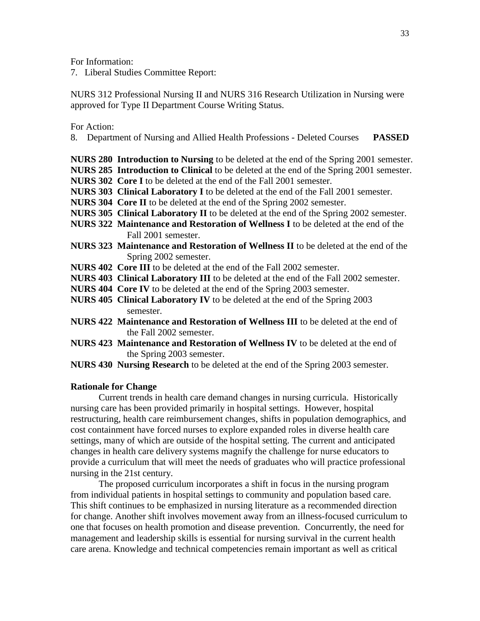For Information:

7. Liberal Studies Committee Report:

NURS 312 Professional Nursing II and NURS 316 Research Utilization in Nursing were approved for Type II Department Course Writing Status.

For Action:

- 8. Department of Nursing and Allied Health Professions Deleted Courses **PASSED**
- **NURS 280 Introduction to Nursing** to be deleted at the end of the Spring 2001 semester.
- **NURS 285 Introduction to Clinical** to be deleted at the end of the Spring 2001 semester.
- **NURS 302 Core I** to be deleted at the end of the Fall 2001 semester.
- **NURS 303 Clinical Laboratory I** to be deleted at the end of the Fall 2001 semester.
- **NURS 304 Core II** to be deleted at the end of the Spring 2002 semester.
- **NURS 305 Clinical Laboratory II** to be deleted at the end of the Spring 2002 semester.
- **NURS 322 Maintenance and Restoration of Wellness I** to be deleted at the end of the Fall 2001 semester.
- **NURS 323 Maintenance and Restoration of Wellness II** to be deleted at the end of the Spring 2002 semester.
- **NURS 402 Core III** to be deleted at the end of the Fall 2002 semester.
- **NURS 403 Clinical Laboratory III** to be deleted at the end of the Fall 2002 semester.
- **NURS 404 Core IV** to be deleted at the end of the Spring 2003 semester.
- **NURS 405 Clinical Laboratory IV** to be deleted at the end of the Spring 2003 semester.
- **NURS 422 Maintenance and Restoration of Wellness III** to be deleted at the end of the Fall 2002 semester.
- **NURS 423 Maintenance and Restoration of Wellness IV** to be deleted at the end of the Spring 2003 semester.
- **NURS 430 Nursing Research** to be deleted at the end of the Spring 2003 semester.

### **Rationale for Change**

Current trends in health care demand changes in nursing curricula. Historically nursing care has been provided primarily in hospital settings. However, hospital restructuring, health care reimbursement changes, shifts in population demographics, and cost containment have forced nurses to explore expanded roles in diverse health care settings, many of which are outside of the hospital setting. The current and anticipated changes in health care delivery systems magnify the challenge for nurse educators to provide a curriculum that will meet the needs of graduates who will practice professional nursing in the 21st century.

The proposed curriculum incorporates a shift in focus in the nursing program from individual patients in hospital settings to community and population based care. This shift continues to be emphasized in nursing literature as a recommended direction for change. Another shift involves movement away from an illness-focused curriculum to one that focuses on health promotion and disease prevention. Concurrently, the need for management and leadership skills is essential for nursing survival in the current health care arena. Knowledge and technical competencies remain important as well as critical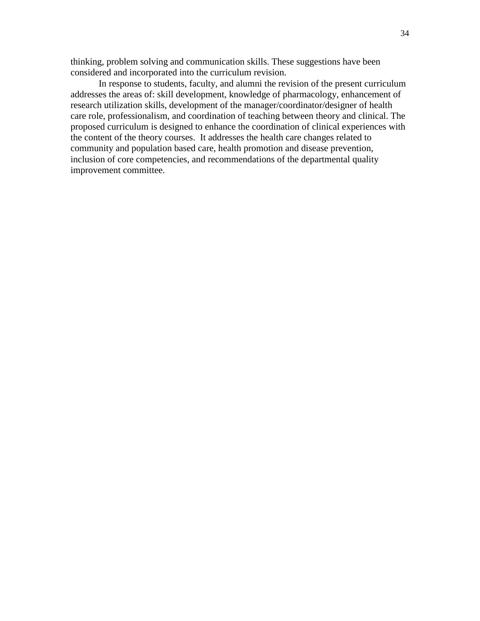thinking, problem solving and communication skills. These suggestions have been considered and incorporated into the curriculum revision.

In response to students, faculty, and alumni the revision of the present curriculum addresses the areas of: skill development, knowledge of pharmacology, enhancement of research utilization skills, development of the manager/coordinator/designer of health care role, professionalism, and coordination of teaching between theory and clinical. The proposed curriculum is designed to enhance the coordination of clinical experiences with the content of the theory courses. It addresses the health care changes related to community and population based care, health promotion and disease prevention, inclusion of core competencies, and recommendations of the departmental quality improvement committee.